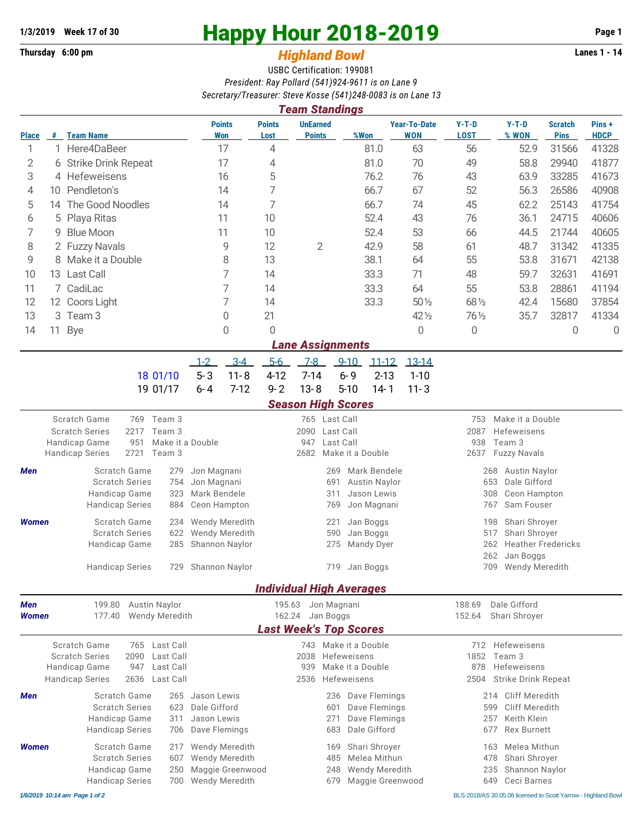## **Thursday 6:00 pm** *Highland Bowl*

## **1/3/2019** Week 17 of 30<br> **Happy Hour 2018-2019** Page 1<br> **Highland Rowl Lanes 1 - 14**<br>
Lanes 1 - 14

## USBC Certification: 199081 *President: Ray Pollard (541)924-9611 is on Lane 9 Secretary/Treasurer: Steve Kosse (541)248-0083 is on Lane 13*

|              |                       |                                                                                     |               |                      |                             |                                         |                       | <b>Team Standings</b>                          |          |                                      | 300101017/110030101.31070.00350                              |                        |                                              |                     |                               |                      |  |  |
|--------------|-----------------------|-------------------------------------------------------------------------------------|---------------|----------------------|-----------------------------|-----------------------------------------|-----------------------|------------------------------------------------|----------|--------------------------------------|--------------------------------------------------------------|------------------------|----------------------------------------------|---------------------|-------------------------------|----------------------|--|--|
| Place        | $\#$                  | <b>Team Name</b>                                                                    |               |                      |                             | <b>Points</b><br><b>Won</b>             | <b>Points</b><br>Lost | <b>UnEarned</b><br><b>Points</b>               |          | %Won                                 | <b>Year-To-Date</b><br><b>WON</b>                            | $Y-T-D$<br><b>LOST</b> |                                              | $Y-T-D$<br>% WON    | <b>Scratch</b><br><b>Pins</b> | Pins+<br><b>HDCP</b> |  |  |
| 1            |                       |                                                                                     | 1 Here4DaBeer |                      | 17                          |                                         | 4                     |                                                |          | 81.0                                 | 63                                                           | 56                     |                                              | 52.9                | 31566                         | 41328                |  |  |
| 2            |                       | 6 Strike Drink Repeat                                                               |               |                      | 17                          |                                         | 4                     |                                                |          | 81.0                                 | 70                                                           | 49                     |                                              | 58.8                | 29940                         | 41877                |  |  |
| 3            |                       | 4 Hefeweisens                                                                       |               |                      | 16                          |                                         | 5                     |                                                |          | 76.2                                 | 76                                                           | 43                     |                                              | 63.9                | 33285                         | 41673                |  |  |
| 4            |                       | 10 Pendleton's                                                                      |               |                      | 14                          |                                         | 7                     |                                                |          | 66.7                                 | 67                                                           | 52                     |                                              | 56.3                | 26586                         | 40908                |  |  |
| 5            | 14                    | The Good Noodles                                                                    |               |                      | 14                          |                                         | 7                     |                                                |          | 66.7                                 | 74                                                           | 45                     |                                              | 62.2                | 25143                         | 41754                |  |  |
| 6            | Playa Ritas<br>5      |                                                                                     |               |                      | 11                          | 10                                      |                       |                                                | 52.4     | 43                                   | 76                                                           |                        | 36.1                                         | 24715               | 40606                         |                      |  |  |
| 7            | <b>Blue Moon</b><br>9 |                                                                                     |               |                      |                             | 11                                      | 10                    |                                                |          | 52.4                                 | 53                                                           | 66                     |                                              | 44.5                | 21744                         | 40605                |  |  |
| 8            |                       | 2 Fuzzy Navals                                                                      |               |                      |                             | 9                                       | 12                    | 2                                              |          | 42.9                                 | 58                                                           | 61                     |                                              | 48.7                | 31342                         | 41335                |  |  |
| 9            | 8 Make it a Double    |                                                                                     |               |                      |                             | 8                                       | 13                    |                                                |          | 38.1                                 | 64                                                           | 55                     |                                              | 53.8                | 31671                         | 42138                |  |  |
| 10           | 13 Last Call          |                                                                                     |               |                      |                             | 7                                       | 14                    |                                                |          | 33.3                                 | 71                                                           | 48                     |                                              | 59.7                | 32631                         | 41691                |  |  |
| 11           | 7 CadiLac             |                                                                                     |               |                      |                             | 7                                       | 14                    |                                                |          | 33.3                                 | 64                                                           | 55                     |                                              | 53.8                | 28861                         | 41194                |  |  |
| 12           |                       | 12 Coors Light                                                                      |               |                      |                             | 7                                       | 14                    |                                                |          | 33.3                                 | $50\%$                                                       | 681/2                  |                                              | 42.4                | 15680                         | 37854                |  |  |
| 13           |                       | 3 Team 3                                                                            |               |                      | 21<br>$\overline{0}$        |                                         |                       |                                                |          |                                      |                                                              | 35.7<br>761/2          |                                              | 32817               | 41334                         |                      |  |  |
| 14           |                       | 11 Bye                                                                              |               |                      |                             | $\overline{0}$                          | $\Omega$              |                                                |          |                                      | 42 1/2<br>0                                                  | 0                      |                                              |                     | 0                             | 0                    |  |  |
|              |                       |                                                                                     |               |                      |                             |                                         |                       | <b>Lane Assignments</b>                        |          |                                      |                                                              |                        |                                              |                     |                               |                      |  |  |
|              |                       |                                                                                     |               |                      | $1 - 2$                     | $3 - 4$                                 | $5 - 6$               | $7 - 8$                                        | $9 - 10$ | $11 - 12$                            | $13 - 14$                                                    |                        |                                              |                     |                               |                      |  |  |
|              |                       |                                                                                     |               | 18 01/10             | $5 - 3$                     | $11 - 8$                                | $4 - 12$              | $7 - 14$                                       | $6 - 9$  | $2 - 13$                             | $1 - 10$                                                     |                        |                                              |                     |                               |                      |  |  |
|              |                       |                                                                                     |               | 19 01/17             | $6 - 4$                     | $7 - 12$                                | $9 - 2$               | $13 - 8$                                       | $5 - 10$ | $14 - 1$                             | $11 - 3$                                                     |                        |                                              |                     |                               |                      |  |  |
|              |                       |                                                                                     |               |                      |                             |                                         |                       | <b>Season High Scores</b>                      |          |                                      |                                                              |                        |                                              |                     |                               |                      |  |  |
|              |                       | Scratch Game                                                                        |               | 769 Team 3           |                             |                                         |                       | 765 Last Call                                  |          |                                      |                                                              |                        | 753                                          | Make it a Double    |                               |                      |  |  |
|              |                       | <b>Scratch Series</b><br>2217<br>Team 3<br>Handicap Game<br>951<br>Make it a Double |               |                      |                             |                                         |                       | 2090<br>Last Call                              |          |                                      |                                                              |                        | 2087<br>Hefeweisens<br>Team 3<br>938         |                     |                               |                      |  |  |
|              |                       |                                                                                     |               |                      |                             |                                         | 947<br>Last Call      |                                                |          |                                      |                                                              |                        |                                              |                     |                               |                      |  |  |
|              |                       | <b>Handicap Series</b>                                                              | 2721          | Team 3               |                             |                                         |                       | 2682                                           |          | Make it a Double                     |                                                              | 2637                   |                                              | <b>Fuzzy Navals</b> |                               |                      |  |  |
| Men          |                       | Scratch Game<br>279                                                                 |               |                      | Jon Magnani                 |                                         |                       |                                                | 269      | Mark Bendele                         |                                                              |                        | <b>Austin Naylor</b><br>268                  |                     |                               |                      |  |  |
|              |                       | <b>Scratch Series</b><br>754                                                        |               |                      | Jon Magnani                 |                                         |                       | <b>Austin Naylor</b><br>691                    |          |                                      |                                                              |                        | 653<br>Dale Gifford                          |                     |                               |                      |  |  |
|              |                       | Handicap Game<br>323<br><b>Handicap Series</b><br>884                               |               |                      | Mark Bendele                | Ceon Hampton                            |                       | Jason Lewis<br>311<br>Jon Magnani<br>769       |          |                                      |                                                              |                        | 308<br>Ceon Hampton<br>Sam Fouser<br>767     |                     |                               |                      |  |  |
|              |                       |                                                                                     |               |                      |                             |                                         |                       |                                                |          |                                      |                                                              |                        |                                              |                     |                               |                      |  |  |
| <b>Women</b> |                       | Scratch Game<br>234<br><b>Scratch Series</b><br>622                                 |               |                      |                             | Wendy Meredith<br><b>Wendy Meredith</b> |                       | Jan Boggs<br>221<br>590<br>Jan Boggs           |          |                                      |                                                              |                        | Shari Shroyer<br>198<br>Shari Shroyer<br>517 |                     |                               |                      |  |  |
|              |                       | Handicap Game<br>285                                                                |               |                      |                             | Shannon Naylor                          |                       | 275<br><b>Mandy Dyer</b>                       |          |                                      |                                                              |                        | 262<br><b>Heather Fredericks</b>             |                     |                               |                      |  |  |
|              |                       |                                                                                     |               |                      |                             |                                         |                       |                                                |          |                                      |                                                              |                        | 262                                          | Jan Boggs           |                               |                      |  |  |
|              |                       | Handicap Series                                                                     |               | 729 Shannon Naylor   |                             | 719 Jan Boggs                           |                       |                                                |          |                                      | 709 Wendy Meredith                                           |                        |                                              |                     |                               |                      |  |  |
|              |                       |                                                                                     |               |                      |                             |                                         |                       | <b>Individual High Averages</b>                |          |                                      |                                                              |                        |                                              |                     |                               |                      |  |  |
| Men          |                       | 199.80                                                                              |               | <b>Austin Naylor</b> |                             |                                         |                       | 195.63 Jon Magnani                             |          |                                      |                                                              | 188.69                 |                                              | Dale Gifford        |                               |                      |  |  |
| Women        |                       | <b>Wendy Meredith</b><br>177.40                                                     |               |                      |                             |                                         |                       | 162.24 Jan Boggs                               |          |                                      |                                                              |                        | 152.64<br>Shari Shroyer                      |                     |                               |                      |  |  |
|              |                       |                                                                                     |               |                      |                             |                                         |                       | <b>Last Week's Top Scores</b>                  |          |                                      |                                                              |                        |                                              |                     |                               |                      |  |  |
|              |                       | Scratch Game                                                                        |               | 765 Last Call        |                             |                                         |                       | 2038                                           |          | 743 Make it a Double                 |                                                              |                        |                                              | 712 Hefeweisens     |                               |                      |  |  |
|              |                       | <b>Scratch Series</b><br>2090<br>Last Call<br>947<br>Last Call                      |               |                      |                             |                                         | Hefeweisens           |                                                |          | 1852<br>Team 3<br>878<br>Hefeweisens |                                                              |                        |                                              |                     |                               |                      |  |  |
|              |                       | Handicap Game<br><b>Handicap Series</b>                                             | 2636          | Last Call            |                             |                                         |                       | Make it a Double<br>939<br>Hefeweisens<br>2536 |          |                                      |                                                              |                        | 2504 Strike Drink Repeat                     |                     |                               |                      |  |  |
|              |                       |                                                                                     |               |                      |                             |                                         |                       |                                                |          |                                      |                                                              |                        |                                              |                     |                               |                      |  |  |
| Men          |                       | Scratch Game<br>265<br><b>Scratch Series</b><br>623                                 |               |                      | Jason Lewis<br>Dale Gifford |                                         |                       | Dave Flemings<br>236<br>Dave Flemings<br>601   |          |                                      | <b>Cliff Meredith</b><br>214<br><b>Cliff Meredith</b><br>599 |                        |                                              |                     |                               |                      |  |  |
|              |                       | Handicap Game<br>311                                                                |               |                      | Jason Lewis                 |                                         |                       | Dave Flemings<br>271                           |          |                                      |                                                              | 257                    | Keith Klein                                  |                     |                               |                      |  |  |
|              |                       | <b>Handicap Series</b>                                                              |               | 706                  |                             | Dave Flemings                           |                       |                                                | 683      | Dale Gifford                         |                                                              |                        | 677                                          | <b>Rex Burnett</b>  |                               |                      |  |  |
| <b>Women</b> |                       |                                                                                     |               | 217                  |                             | Wendy Meredith                          |                       |                                                | 169      |                                      |                                                              |                        | 163                                          | Melea Mithun        |                               |                      |  |  |
|              |                       | Scratch Game<br><b>Scratch Series</b><br>607                                        |               |                      |                             | Wendy Meredith                          |                       | Shari Shroyer<br>Melea Mithun<br>485           |          |                                      |                                                              |                        | Shari Shroyer<br>478                         |                     |                               |                      |  |  |
|              |                       | Handicap Game                                                                       |               | 250                  |                             | Maggie Greenwood                        |                       |                                                | 248      | <b>Wendy Meredith</b>                |                                                              |                        | 235                                          | Shannon Naylor      |                               |                      |  |  |
|              |                       | <b>Handicap Series</b>                                                              |               | 700 Wendy Meredith   |                             | Maggie Greenwood<br>679                 |                       |                                                |          | Ceci Barnes<br>649                   |                                                              |                        |                                              |                     |                               |                      |  |  |